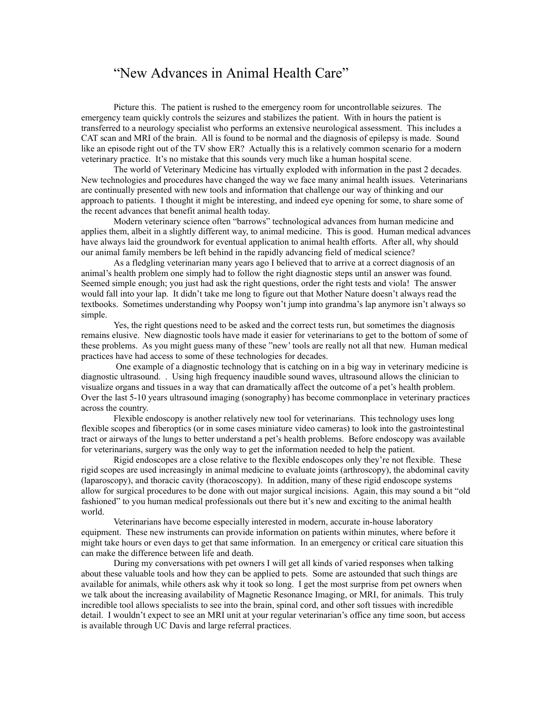## "New Advances in Animal Health Care"

Picture this. The patient is rushed to the emergency room for uncontrollable seizures. The emergency team quickly controls the seizures and stabilizes the patient. With in hours the patient is transferred to a neurology specialist who performs an extensive neurological assessment. This includes a CAT scan and MRI of the brain. All is found to be normal and the diagnosis of epilepsy is made. Sound like an episode right out of the TV show ER? Actually this is a relatively common scenario for a modern veterinary practice. It's no mistake that this sounds very much like a human hospital scene.

The world of Veterinary Medicine has virtually exploded with information in the past 2 decades. New technologies and procedures have changed the way we face many animal health issues. Veterinarians are continually presented with new tools and information that challenge our way of thinking and our approach to patients. I thought it might be interesting, and indeed eye opening for some, to share some of the recent advances that benefit animal health today.

Modern veterinary science often "barrows" technological advances from human medicine and applies them, albeit in a slightly different way, to animal medicine. This is good. Human medical advances have always laid the groundwork for eventual application to animal health efforts. After all, why should our animal family members be left behind in the rapidly advancing field of medical science?

As a fledgling veterinarian many years ago I believed that to arrive at a correct diagnosis of an animal's health problem one simply had to follow the right diagnostic steps until an answer was found. Seemed simple enough; you just had ask the right questions, order the right tests and viola! The answer would fall into your lap. It didn't take me long to figure out that Mother Nature doesn't always read the textbooks. Sometimes understanding why Poopsy won't jump into grandma's lap anymore isn't always so simple.

Yes, the right questions need to be asked and the correct tests run, but sometimes the diagnosis remains elusive. New diagnostic tools have made it easier for veterinarians to get to the bottom of some of these problems. As you might guess many of these "new' tools are really not all that new. Human medical practices have had access to some of these technologies for decades.

 One example of a diagnostic technology that is catching on in a big way in veterinary medicine is diagnostic ultrasound. . Using high frequency inaudible sound waves, ultrasound allows the clinician to visualize organs and tissues in a way that can dramatically affect the outcome of a pet's health problem. Over the last 5-10 years ultrasound imaging (sonography) has become commonplace in veterinary practices across the country.

Flexible endoscopy is another relatively new tool for veterinarians. This technology uses long flexible scopes and fiberoptics (or in some cases miniature video cameras) to look into the gastrointestinal tract or airways of the lungs to better understand a pet's health problems. Before endoscopy was available for veterinarians, surgery was the only way to get the information needed to help the patient.

Rigid endoscopes are a close relative to the flexible endoscopes only they're not flexible. These rigid scopes are used increasingly in animal medicine to evaluate joints (arthroscopy), the abdominal cavity (laparoscopy), and thoracic cavity (thoracoscopy). In addition, many of these rigid endoscope systems allow for surgical procedures to be done with out major surgical incisions. Again, this may sound a bit "old fashioned" to you human medical professionals out there but it's new and exciting to the animal health world.

Veterinarians have become especially interested in modern, accurate in-house laboratory equipment. These new instruments can provide information on patients within minutes, where before it might take hours or even days to get that same information. In an emergency or critical care situation this can make the difference between life and death.

During my conversations with pet owners I will get all kinds of varied responses when talking about these valuable tools and how they can be applied to pets. Some are astounded that such things are available for animals, while others ask why it took so long. I get the most surprise from pet owners when we talk about the increasing availability of Magnetic Resonance Imaging, or MRI, for animals. This truly incredible tool allows specialists to see into the brain, spinal cord, and other soft tissues with incredible detail. I wouldn't expect to see an MRI unit at your regular veterinarian's office any time soon, but access is available through UC Davis and large referral practices.